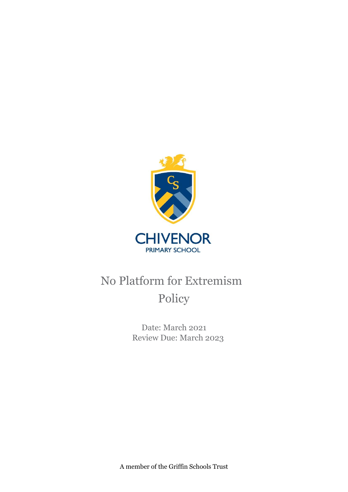

# No Platform for Extremism Policy

Date: March 2021 Review Due: March 2023

A member of the Griffin Schools Trust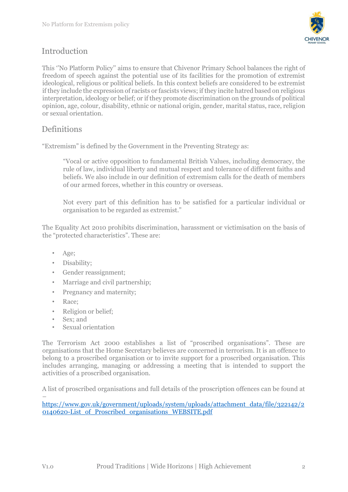

# Introduction

This ''No Platform Policy'' aims to ensure that Chivenor Primary School balances the right of freedom of speech against the potential use of its facilities for the promotion of extremist ideological, religious or political beliefs. In this context beliefs are considered to be extremist if they include the expression of racists or fascists views; if they incite hatred based on religious interpretation, ideology or belief; or if they promote discrimination on the grounds of political opinion, age, colour, disability, ethnic or national origin, gender, marital status, race, religion or sexual orientation.

## **Definitions**

"Extremism" is defined by the Government in the Preventing Strategy as:

"Vocal or active opposition to fundamental British Values, including democracy, the rule of law, individual liberty and mutual respect and tolerance of different faiths and beliefs. We also include in our definition of extremism calls for the death of members of our armed forces, whether in this country or overseas.

Not every part of this definition has to be satisfied for a particular individual or organisation to be regarded as extremist."

The Equality Act 2010 prohibits discrimination, harassment or victimisation on the basis of the "protected characteristics". These are:

- Age;
- Disability;
- Gender reassignment;
- Marriage and civil partnership;
- Pregnancy and maternity;
- Race;
- Religion or belief;
- Sex; and
- Sexual orientation

The Terrorism Act 2000 establishes a list of "proscribed organisations". These are organisations that the Home Secretary believes are concerned in terrorism. It is an offence to belong to a proscribed organisation or to invite support for a proscribed organisation. This includes arranging, managing or addressing a meeting that is intended to support the activities of a proscribed organisation.

A list of proscribed organisations and full details of the proscription offences can be found at –

[https://www.gov.uk/government/uploads/system/uploads/attachment\\_data/file/322142/2](https://www.gov.uk/government/uploads/system/uploads/attachment_data/file/322142/20140620-List_of_Proscribed_organisations_WEBSITE.pdf) [0140620-List\\_of\\_Proscribed\\_organisations\\_WEBSITE.pdf](https://www.gov.uk/government/uploads/system/uploads/attachment_data/file/322142/20140620-List_of_Proscribed_organisations_WEBSITE.pdf)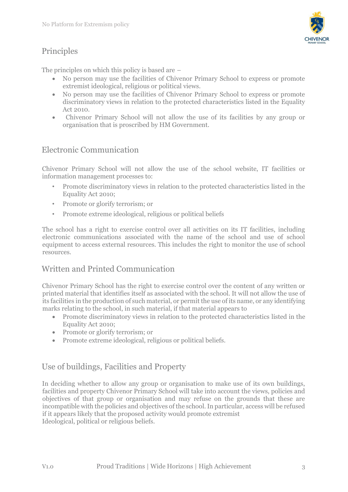



The principles on which this policy is based are –

- No person may use the facilities of Chivenor Primary School to express or promote extremist ideological, religious or political views.
- No person may use the facilities of Chivenor Primary School to express or promote discriminatory views in relation to the protected characteristics listed in the Equality Act 2010.
- Chivenor Primary School will not allow the use of its facilities by any group or organisation that is proscribed by HM Government.

## Electronic Communication

Chivenor Primary School will not allow the use of the school website, IT facilities or information management processes to:

- Promote discriminatory views in relation to the protected characteristics listed in the Equality Act 2010;
- Promote or glorify terrorism; or
- Promote extreme ideological, religious or political beliefs

The school has a right to exercise control over all activities on its IT facilities, including electronic communications associated with the name of the school and use of school equipment to access external resources. This includes the right to monitor the use of school resources.

#### Written and Printed Communication

Chivenor Primary School has the right to exercise control over the content of any written or printed material that identifies itself as associated with the school. It will not allow the use of its facilities in the production of such material, or permit the use of its name, or any identifying marks relating to the school, in such material, if that material appears to

- Promote discriminatory views in relation to the protected characteristics listed in the Equality Act 2010;
- Promote or glorify terrorism; or
- Promote extreme ideological, religious or political beliefs.

#### Use of buildings, Facilities and Property

In deciding whether to allow any group or organisation to make use of its own buildings, facilities and property Chivenor Primary School will take into account the views, policies and objectives of that group or organisation and may refuse on the grounds that these are incompatible with the policies and objectives of the school. In particular, access will be refused if it appears likely that the proposed activity would promote extremist Ideological, political or religious beliefs.